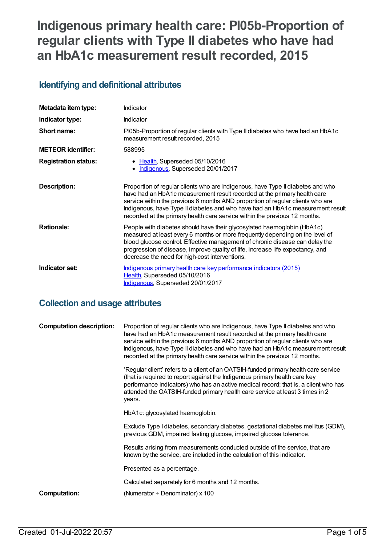# **Indigenous primary health care: PI05b-Proportion of regular clients with Type II diabetes who have had an HbA1c measurement result recorded, 2015**

# **Identifying and definitional attributes**

| Metadata item type:         | Indicator                                                                                                                                                                                                                                                                                                                                                                                                     |
|-----------------------------|---------------------------------------------------------------------------------------------------------------------------------------------------------------------------------------------------------------------------------------------------------------------------------------------------------------------------------------------------------------------------------------------------------------|
| Indicator type:             | <b>Indicator</b>                                                                                                                                                                                                                                                                                                                                                                                              |
| Short name:                 | PI05b-Proportion of regular clients with Type II diabetes who have had an HbA1c<br>measurement result recorded, 2015                                                                                                                                                                                                                                                                                          |
| <b>METEOR</b> identifier:   | 588995                                                                                                                                                                                                                                                                                                                                                                                                        |
| <b>Registration status:</b> | Health, Superseded 05/10/2016<br>Indigenous, Superseded 20/01/2017                                                                                                                                                                                                                                                                                                                                            |
| <b>Description:</b>         | Proportion of regular clients who are Indigenous, have Type II diabetes and who<br>have had an HbA1c measurement result recorded at the primary health care<br>service within the previous 6 months AND proportion of regular clients who are<br>Indigenous, have Type II diabetes and who have had an HbA1c measurement result<br>recorded at the primary health care service within the previous 12 months. |
| <b>Rationale:</b>           | People with diabetes should have their glycosylated haemoglobin (HbA1c)<br>measured at least every 6 months or more frequently depending on the level of<br>blood glucose control. Effective management of chronic disease can delay the<br>progression of disease, improve quality of life, increase life expectancy, and<br>decrease the need for high-cost interventions.                                  |
| Indicator set:              | Indigenous primary health care key performance indicators (2015)<br>Health, Superseded 05/10/2016<br>Indigenous, Superseded 20/01/2017                                                                                                                                                                                                                                                                        |

# **Collection and usage attributes**

| <b>Computation description:</b> | Proportion of regular clients who are Indigenous, have Type II diabetes and who<br>have had an HbA1c measurement result recorded at the primary health care<br>service within the previous 6 months AND proportion of regular clients who are<br>Indigenous, have Type II diabetes and who have had an HbA1c measurement result<br>recorded at the primary health care service within the previous 12 months. |
|---------------------------------|---------------------------------------------------------------------------------------------------------------------------------------------------------------------------------------------------------------------------------------------------------------------------------------------------------------------------------------------------------------------------------------------------------------|
|                                 | 'Regular client' refers to a client of an OATSIH-funded primary health care service<br>(that is required to report against the Indigenous primary health care key<br>performance indicators) who has an active medical record; that is, a client who has<br>attended the OATSIH-funded primary health care service at least 3 times in 2<br>years.                                                            |
|                                 | HbA1c: glycosylated haemoglobin.                                                                                                                                                                                                                                                                                                                                                                              |
|                                 | Exclude Type I diabetes, secondary diabetes, gestational diabetes mellitus (GDM),<br>previous GDM, impaired fasting glucose, impaired glucose tolerance.                                                                                                                                                                                                                                                      |
|                                 | Results arising from measurements conducted outside of the service, that are<br>known by the service, are included in the calculation of this indicator.                                                                                                                                                                                                                                                      |
|                                 | Presented as a percentage.                                                                                                                                                                                                                                                                                                                                                                                    |
|                                 | Calculated separately for 6 months and 12 months.                                                                                                                                                                                                                                                                                                                                                             |
| Computation:                    | (Numerator $\div$ Denominator) x 100                                                                                                                                                                                                                                                                                                                                                                          |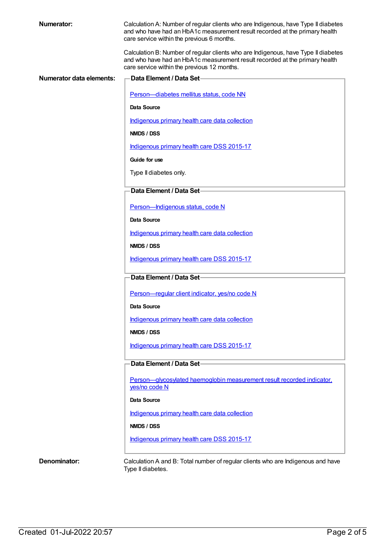| <b>Numerator:</b>        | Calculation A: Number of regular clients who are Indigenous, have Type II diabetes<br>and who have had an HbA1c measurement result recorded at the primary health<br>care service within the previous 6 months.  |
|--------------------------|------------------------------------------------------------------------------------------------------------------------------------------------------------------------------------------------------------------|
|                          | Calculation B: Number of regular clients who are Indigenous, have Type II diabetes<br>and who have had an HbA1c measurement result recorded at the primary health<br>care service within the previous 12 months. |
| Numerator data elements: | <b>Data Element / Data Set-</b>                                                                                                                                                                                  |
|                          | Person-diabetes mellitus status, code NN                                                                                                                                                                         |
|                          | Data Source                                                                                                                                                                                                      |
|                          | Indigenous primary health care data collection                                                                                                                                                                   |
|                          | NMDS / DSS                                                                                                                                                                                                       |
|                          | Indigenous primary health care DSS 2015-17                                                                                                                                                                       |
|                          | Guide for use                                                                                                                                                                                                    |
|                          | Type II diabetes only.                                                                                                                                                                                           |
|                          | Data Element / Data Set-                                                                                                                                                                                         |
|                          | Person-Indigenous status, code N                                                                                                                                                                                 |
|                          | Data Source                                                                                                                                                                                                      |
|                          | Indigenous primary health care data collection                                                                                                                                                                   |
|                          | NMDS / DSS                                                                                                                                                                                                       |
|                          | Indigenous primary health care DSS 2015-17                                                                                                                                                                       |
|                          | Data Element / Data Set-                                                                                                                                                                                         |
|                          | Person-regular client indicator, yes/no code N                                                                                                                                                                   |
|                          | Data Source                                                                                                                                                                                                      |
|                          | Indigenous primary health care data collection                                                                                                                                                                   |
|                          | NMDS / DSS                                                                                                                                                                                                       |
|                          | Indigenous primary health care DSS 2015-17                                                                                                                                                                       |
|                          | Data Element / Data Set-                                                                                                                                                                                         |
|                          | Person-glycosylated haemoglobin measurement result recorded indicator.<br>yes/no code N                                                                                                                          |
|                          | Data Source                                                                                                                                                                                                      |
|                          | Indigenous primary health care data collection                                                                                                                                                                   |
|                          | NMDS / DSS                                                                                                                                                                                                       |
|                          | Indigenous primary health care DSS 2015-17                                                                                                                                                                       |
|                          |                                                                                                                                                                                                                  |
| Denominator:             | Calculation A and B: Total number of regular clients who are Indigenous and have<br>Type II diabetes.                                                                                                            |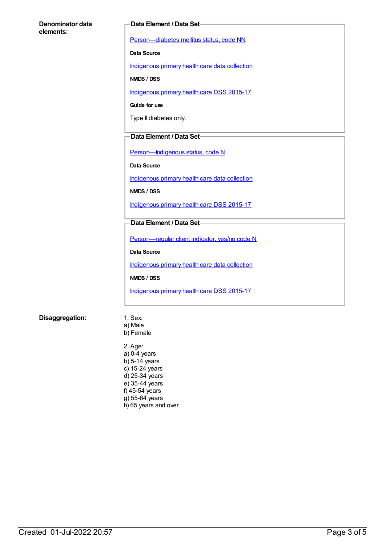#### **Denominator data elements:**

#### **Data Element / Data Set**

[Person—diabetes](https://meteor.aihw.gov.au/content/270194) mellitus status, code NN

**Data Source**

[Indigenous](https://meteor.aihw.gov.au/content/430643) primary health care data collection

**NMDS / DSS**

[Indigenous](https://meteor.aihw.gov.au/content/585036) primary health care DSS 2015-17

**Guide for use**

Type II diabetes only.

#### **Data Element / Data Set**

[Person—Indigenous](https://meteor.aihw.gov.au/content/291036) status, code N

**Data Source**

[Indigenous](https://meteor.aihw.gov.au/content/430643) primary health care data collection

**NMDS / DSS**

[Indigenous](https://meteor.aihw.gov.au/content/585036) primary health care DSS 2015-17

#### **Data Element / Data Set**

[Person—regular](https://meteor.aihw.gov.au/content/436639) client indicator, yes/no code N

**Data Source**

[Indigenous](https://meteor.aihw.gov.au/content/430643) primary health care data collection

**NMDS / DSS**

[Indigenous](https://meteor.aihw.gov.au/content/585036) primary health care DSS 2015-17

#### **Disaggregation:** 1. Sex:

- a) Male b) Female
- 2. Age: a) 0-4 years b) 5-14 years c) 15-24 years d) 25-34 years e) 35-44 years f) 45-54 years g) 55-64 years h) 65 years and over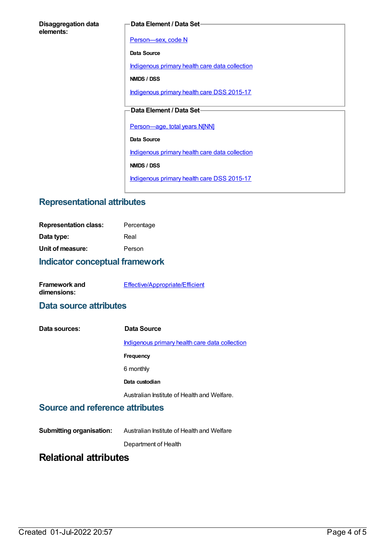| <b>Disaggregation data</b> |  |
|----------------------------|--|
| elements:                  |  |

#### **Data Element / Data Set**

Person-sex, code N

**Data Source**

[Indigenous](https://meteor.aihw.gov.au/content/430643) primary health care data collection

**NMDS / DSS**

[Indigenous](https://meteor.aihw.gov.au/content/585036) primary health care DSS 2015-17

### **Data Element / Data Set**

[Person—age,](https://meteor.aihw.gov.au/content/303794) total years N[NN]

**Data Source**

[Indigenous](https://meteor.aihw.gov.au/content/430643) primary health care data collection

**NMDS / DSS**

[Indigenous](https://meteor.aihw.gov.au/content/585036) primary health care DSS 2015-17

## **Representational attributes**

| <b>Representation class:</b> | Percentage |
|------------------------------|------------|
| Data type:                   | Real       |
| Unit of measure:             | Person     |
|                              |            |

### **Indicator conceptual framework**

| <b>Framework and</b> | Effective/Appropriate/Efficient |
|----------------------|---------------------------------|
| dimensions:          |                                 |

### **Data source attributes**

| Data sources: | Data Source                                    |
|---------------|------------------------------------------------|
|               | Indigenous primary health care data collection |
|               | Frequency                                      |
|               | 6 monthly                                      |
|               | Data custodian                                 |
|               | Australian Institute of Health and Welfare.    |

### **Source and reference attributes**

**Submitting organisation:** Australian Institute of Health and Welfare

Department of Health

# **Relational attributes**